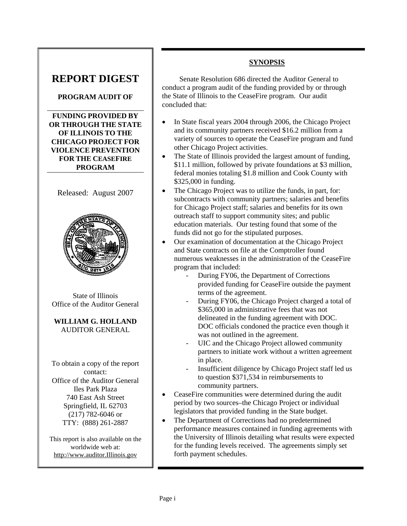# **REPORT DIGEST**

### **PROGRAM AUDIT OF**

**FUNDING PROVIDED BY OR THROUGH THE STATE OF ILLINOIS TO THE CHICAGO PROJECT FOR VIOLENCE PREVENTION FOR THE CEASEFIRE PROGRAM**



State of Illinois Office of the Auditor General

**WILLIAM G. HOLLAND**  AUDITOR GENERAL

To obtain a copy of the report contact: Office of the Auditor General Iles Park Plaza 740 East Ash Street Springfield, IL 62703 (217) 782-6046 or TTY: (888) 261-2887

This report is also available on the worldwide web at: http://www.auditor.Illinois.gov

## **SYNOPSIS**

Senate Resolution 686 directed the Auditor General to conduct a program audit of the funding provided by or through the State of Illinois to the CeaseFire program. Our audit concluded that:

- In State fiscal years 2004 through 2006, the Chicago Project and its community partners received \$16.2 million from a variety of sources to operate the CeaseFire program and fund other Chicago Project activities.
- The State of Illinois provided the largest amount of funding, \$11.1 million, followed by private foundations at \$3 million, federal monies totaling \$1.8 million and Cook County with \$325,000 in funding.
- The Chicago Project was to utilize the funds, in part, for: subcontracts with community partners; salaries and benefits for Chicago Project staff; salaries and benefits for its own outreach staff to support community sites; and public education materials. Our testing found that some of the funds did not go for the stipulated purposes.
- Our examination of documentation at the Chicago Project and State contracts on file at the Comptroller found numerous weaknesses in the administration of the CeaseFire program that included:
	- During FY06, the Department of Corrections provided funding for CeaseFire outside the payment terms of the agreement.
	- During FY06, the Chicago Project charged a total of \$365,000 in administrative fees that was not delineated in the funding agreement with DOC. DOC officials condoned the practice even though it was not outlined in the agreement.
	- UIC and the Chicago Project allowed community partners to initiate work without a written agreement in place.
	- Insufficient diligence by Chicago Project staff led us to question \$371,534 in reimbursements to community partners.
- CeaseFire communities were determined during the audit period by two sources–the Chicago Project or individual legislators that provided funding in the State budget.
- The Department of Corrections had no predetermined performance measures contained in funding agreements with the University of Illinois detailing what results were expected for the funding levels received. The agreements simply set forth payment schedules.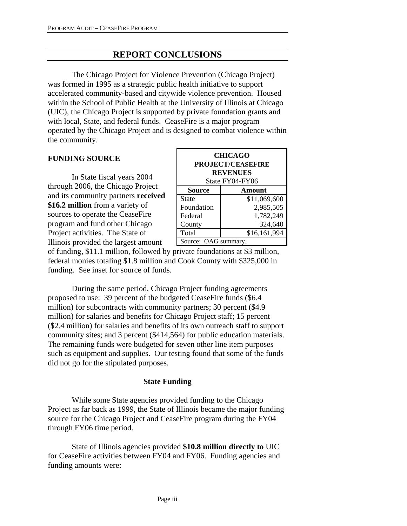## **REPORT CONCLUSIONS**

 The Chicago Project for Violence Prevention (Chicago Project) was formed in 1995 as a strategic public health initiative to support accelerated community-based and citywide violence prevention. Housed within the School of Public Health at the University of Illinois at Chicago (UIC), the Chicago Project is supported by private foundation grants and with local, State, and federal funds. CeaseFire is a major program operated by the Chicago Project and is designed to combat violence within the community.

#### **FUNDING SOURCE**

 In State fiscal years 2004 through 2006, the Chicago Project and its community partners **received \$16.2 million** from a variety of sources to operate the CeaseFire program and fund other Chicago Project activities. The State of Illinois provided the largest amount

| <b>CHICAGO</b><br><b>PROJECT/CEASEFIRE</b><br><b>REVENUES</b><br>State FY04-FY06 |              |  |  |  |
|----------------------------------------------------------------------------------|--------------|--|--|--|
| Source<br>Amount                                                                 |              |  |  |  |
| State                                                                            | \$11,069,600 |  |  |  |
| Foundation                                                                       | 2,985,505    |  |  |  |
| Federal                                                                          | 1,782,249    |  |  |  |
| County                                                                           | 324,640      |  |  |  |
| Total                                                                            | \$16,161,994 |  |  |  |
| Source: OAG summary.                                                             |              |  |  |  |

of funding, \$11.1 million, followed by private foundations at \$3 million, federal monies totaling \$1.8 million and Cook County with \$325,000 in funding. See inset for source of funds.

 During the same period, Chicago Project funding agreements proposed to use: 39 percent of the budgeted CeaseFire funds (\$6.4 million) for subcontracts with community partners; 30 percent (\$4.9 million) for salaries and benefits for Chicago Project staff; 15 percent (\$2.4 million) for salaries and benefits of its own outreach staff to support community sites; and 3 percent (\$414,564) for public education materials. The remaining funds were budgeted for seven other line item purposes such as equipment and supplies. Our testing found that some of the funds did not go for the stipulated purposes.

#### **State Funding**

While some State agencies provided funding to the Chicago Project as far back as 1999, the State of Illinois became the major funding source for the Chicago Project and CeaseFire program during the FY04 through FY06 time period.

 State of Illinois agencies provided **\$10.8 million directly to** UIC for CeaseFire activities between FY04 and FY06. Funding agencies and funding amounts were: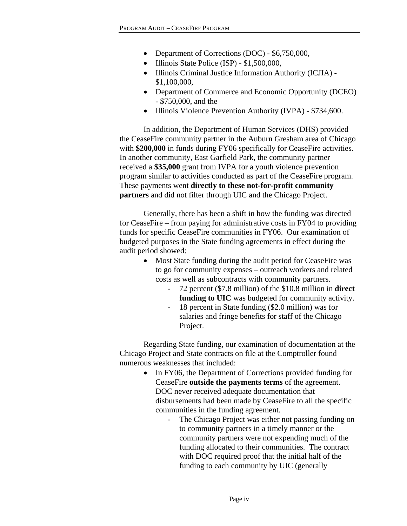- Department of Corrections (DOC) \$6,750,000,
- Illinois State Police (ISP) \$1,500,000,
- Illinois Criminal Justice Information Authority (ICJIA) \$1,100,000,
- Department of Commerce and Economic Opportunity (DCEO) - \$750,000, and the
- Illinois Violence Prevention Authority (IVPA) \$734,600.

In addition, the Department of Human Services (DHS) provided the CeaseFire community partner in the Auburn Gresham area of Chicago with **\$200,000** in funds during FY06 specifically for CeaseFire activities. In another community, East Garfield Park, the community partner received a **\$35,000** grant from IVPA for a youth violence prevention program similar to activities conducted as part of the CeaseFire program. These payments went **directly to these not-for-profit community partners** and did not filter through UIC and the Chicago Project.

Generally, there has been a shift in how the funding was directed for CeaseFire – from paying for administrative costs in FY04 to providing funds for specific CeaseFire communities in FY06. Our examination of budgeted purposes in the State funding agreements in effect during the audit period showed:

- Most State funding during the audit period for CeaseFire was to go for community expenses – outreach workers and related costs as well as subcontracts with community partners.
	- 72 percent (\$7.8 million) of the \$10.8 million in **direct funding to UIC** was budgeted for community activity.
	- 18 percent in State funding (\$2.0 million) was for salaries and fringe benefits for staff of the Chicago Project.

Regarding State funding, our examination of documentation at the Chicago Project and State contracts on file at the Comptroller found numerous weaknesses that included:

- In FY06, the Department of Corrections provided funding for CeaseFire **outside the payments terms** of the agreement. DOC never received adequate documentation that disbursements had been made by CeaseFire to all the specific communities in the funding agreement.
	- The Chicago Project was either not passing funding on to community partners in a timely manner or the community partners were not expending much of the funding allocated to their communities. The contract with DOC required proof that the initial half of the funding to each community by UIC (generally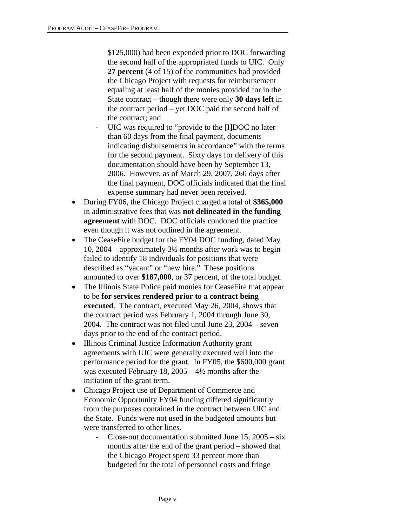\$125,000) had been expended prior to DOC forwarding the second half of the appropriated funds to UIC. Only **27 percent** (4 of 15) of the communities had provided the Chicago Project with requests for reimbursement equaling at least half of the monies provided for in the State contract – though there were only **30 days left** in the contract period – yet DOC paid the second half of the contract; and

- UIC was required to "provide to the [I]DOC no later than 60 days from the final payment, documents indicating disbursements in accordance" with the terms for the second payment. Sixty days for delivery of this documentation should have been by September 13, 2006. However, as of March 29, 2007, 260 days after the final payment, DOC officials indicated that the final expense summary had never been received.
- During FY06, the Chicago Project charged a total of **\$365,000** in administrative fees that was **not delineated in the funding agreement** with DOC. DOC officials condoned the practice even though it was not outlined in the agreement.
- The CeaseFire budget for the FY04 DOC funding, dated May 10, 2004 – approximately  $3\frac{1}{2}$  months after work was to begin – failed to identify 18 individuals for positions that were described as "vacant" or "new hire." These positions amounted to over **\$187,000**, or 37 percent, of the total budget.
- The Illinois State Police paid monies for CeaseFire that appear to be **for services rendered prior to a contract being executed**. The contract, executed May 26, 2004, shows that the contract period was February 1, 2004 through June 30, 2004. The contract was not filed until June 23, 2004 – seven days prior to the end of the contract period.
- Illinois Criminal Justice Information Authority grant agreements with UIC were generally executed well into the performance period for the grant. In FY05, the \$600,000 grant was executed February 18,  $2005 - 4\frac{1}{2}$  months after the initiation of the grant term.
- Chicago Project use of Department of Commerce and Economic Opportunity FY04 funding differed significantly from the purposes contained in the contract between UIC and the State. Funds were not used in the budgeted amounts but were transferred to other lines.
	- Close-out documentation submitted June 15, 2005 six months after the end of the grant period – showed that the Chicago Project spent 33 percent more than budgeted for the total of personnel costs and fringe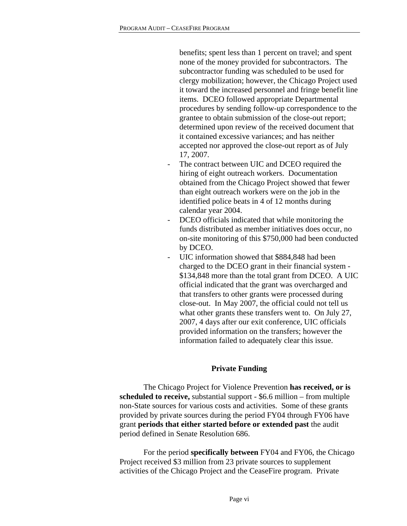benefits; spent less than 1 percent on travel; and spent none of the money provided for subcontractors. The subcontractor funding was scheduled to be used for clergy mobilization; however, the Chicago Project used it toward the increased personnel and fringe benefit line items. DCEO followed appropriate Departmental procedures by sending follow-up correspondence to the grantee to obtain submission of the close-out report; determined upon review of the received document that it contained excessive variances; and has neither accepted nor approved the close-out report as of July 17, 2007.

- The contract between UIC and DCEO required the hiring of eight outreach workers. Documentation obtained from the Chicago Project showed that fewer than eight outreach workers were on the job in the identified police beats in 4 of 12 months during calendar year 2004.
- DCEO officials indicated that while monitoring the funds distributed as member initiatives does occur, no on-site monitoring of this \$750,000 had been conducted by DCEO.
- UIC information showed that \$884,848 had been charged to the DCEO grant in their financial system - \$134,848 more than the total grant from DCEO. A UIC official indicated that the grant was overcharged and that transfers to other grants were processed during close-out. In May 2007, the official could not tell us what other grants these transfers went to. On July 27, 2007, 4 days after our exit conference, UIC officials provided information on the transfers; however the information failed to adequately clear this issue.

#### **Private Funding**

 The Chicago Project for Violence Prevention **has received, or is scheduled to receive,** substantial support - \$6.6 million – from multiple non-State sources for various costs and activities. Some of these grants provided by private sources during the period FY04 through FY06 have grant **periods that either started before or extended past** the audit period defined in Senate Resolution 686.

 For the period **specifically between** FY04 and FY06, the Chicago Project received \$3 million from 23 private sources to supplement activities of the Chicago Project and the CeaseFire program. Private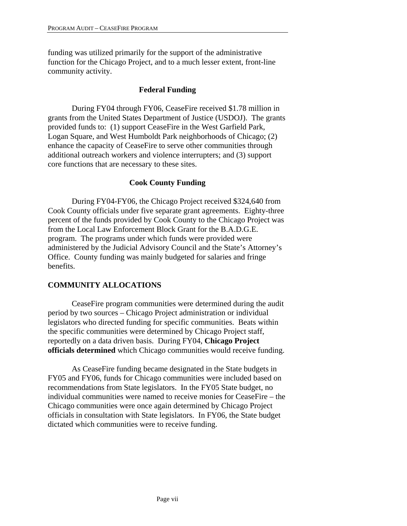funding was utilized primarily for the support of the administrative function for the Chicago Project, and to a much lesser extent, front-line community activity.

### **Federal Funding**

 During FY04 through FY06, CeaseFire received \$1.78 million in grants from the United States Department of Justice (USDOJ). The grants provided funds to: (1) support CeaseFire in the West Garfield Park, Logan Square, and West Humboldt Park neighborhoods of Chicago; (2) enhance the capacity of CeaseFire to serve other communities through additional outreach workers and violence interrupters; and (3) support core functions that are necessary to these sites.

### **Cook County Funding**

During FY04-FY06, the Chicago Project received \$324,640 from Cook County officials under five separate grant agreements. Eighty-three percent of the funds provided by Cook County to the Chicago Project was from the Local Law Enforcement Block Grant for the B.A.D.G.E. program. The programs under which funds were provided were administered by the Judicial Advisory Council and the State's Attorney's Office. County funding was mainly budgeted for salaries and fringe benefits.

### **COMMUNITY ALLOCATIONS**

 CeaseFire program communities were determined during the audit period by two sources – Chicago Project administration or individual legislators who directed funding for specific communities. Beats within the specific communities were determined by Chicago Project staff, reportedly on a data driven basis. During FY04, **Chicago Project officials determined** which Chicago communities would receive funding.

 As CeaseFire funding became designated in the State budgets in FY05 and FY06, funds for Chicago communities were included based on recommendations from State legislators. In the FY05 State budget, no individual communities were named to receive monies for CeaseFire – the Chicago communities were once again determined by Chicago Project officials in consultation with State legislators. In FY06, the State budget dictated which communities were to receive funding.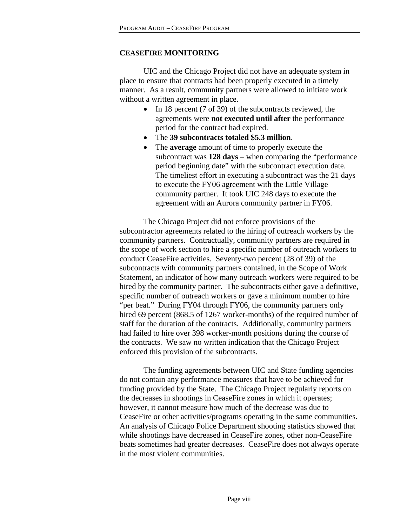#### **CEASEFIRE MONITORING**

UIC and the Chicago Project did not have an adequate system in place to ensure that contracts had been properly executed in a timely manner. As a result, community partners were allowed to initiate work without a written agreement in place.

- In 18 percent (7 of 39) of the subcontracts reviewed, the agreements were **not executed until after** the performance period for the contract had expired.
- The **39 subcontracts totaled \$5.3 million**.
- The **average** amount of time to properly execute the subcontract was **128 days** – when comparing the "performance period beginning date" with the subcontract execution date. The timeliest effort in executing a subcontract was the 21 days to execute the FY06 agreement with the Little Village community partner. It took UIC 248 days to execute the agreement with an Aurora community partner in FY06.

 The Chicago Project did not enforce provisions of the subcontractor agreements related to the hiring of outreach workers by the community partners. Contractually, community partners are required in the scope of work section to hire a specific number of outreach workers to conduct CeaseFire activities. Seventy-two percent (28 of 39) of the subcontracts with community partners contained, in the Scope of Work Statement, an indicator of how many outreach workers were required to be hired by the community partner. The subcontracts either gave a definitive, specific number of outreach workers or gave a minimum number to hire "per beat." During FY04 through FY06, the community partners only hired 69 percent (868.5 of 1267 worker-months) of the required number of staff for the duration of the contracts. Additionally, community partners had failed to hire over 398 worker-month positions during the course of the contracts. We saw no written indication that the Chicago Project enforced this provision of the subcontracts.

 The funding agreements between UIC and State funding agencies do not contain any performance measures that have to be achieved for funding provided by the State. The Chicago Project regularly reports on the decreases in shootings in CeaseFire zones in which it operates; however, it cannot measure how much of the decrease was due to CeaseFire or other activities/programs operating in the same communities. An analysis of Chicago Police Department shooting statistics showed that while shootings have decreased in CeaseFire zones, other non-CeaseFire beats sometimes had greater decreases. CeaseFire does not always operate in the most violent communities.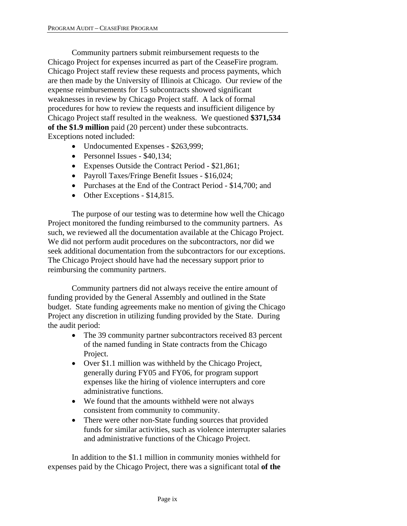Community partners submit reimbursement requests to the Chicago Project for expenses incurred as part of the CeaseFire program. Chicago Project staff review these requests and process payments, which are then made by the University of Illinois at Chicago. Our review of the expense reimbursements for 15 subcontracts showed significant weaknesses in review by Chicago Project staff. A lack of formal procedures for how to review the requests and insufficient diligence by Chicago Project staff resulted in the weakness. We questioned **\$371,534 of the \$1.9 million** paid (20 percent) under these subcontracts. Exceptions noted included:

- Undocumented Expenses \$263,999;
- Personnel Issues \$40,134;
- Expenses Outside the Contract Period \$21,861;
- Payroll Taxes/Fringe Benefit Issues \$16,024;
- Purchases at the End of the Contract Period \$14,700; and
- Other Exceptions \$14,815.

The purpose of our testing was to determine how well the Chicago Project monitored the funding reimbursed to the community partners. As such, we reviewed all the documentation available at the Chicago Project. We did not perform audit procedures on the subcontractors, nor did we seek additional documentation from the subcontractors for our exceptions. The Chicago Project should have had the necessary support prior to reimbursing the community partners.

 Community partners did not always receive the entire amount of funding provided by the General Assembly and outlined in the State budget. State funding agreements make no mention of giving the Chicago Project any discretion in utilizing funding provided by the State. During the audit period:

- The 39 community partner subcontractors received 83 percent of the named funding in State contracts from the Chicago Project.
- Over \$1.1 million was withheld by the Chicago Project, generally during FY05 and FY06, for program support expenses like the hiring of violence interrupters and core administrative functions.
- We found that the amounts withheld were not always consistent from community to community.
- There were other non-State funding sources that provided funds for similar activities, such as violence interrupter salaries and administrative functions of the Chicago Project.

 In addition to the \$1.1 million in community monies withheld for expenses paid by the Chicago Project, there was a significant total **of the**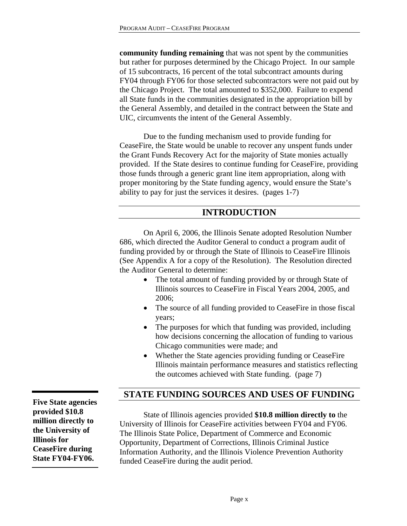**community funding remaining** that was not spent by the communities but rather for purposes determined by the Chicago Project. In our sample of 15 subcontracts, 16 percent of the total subcontract amounts during FY04 through FY06 for those selected subcontractors were not paid out by the Chicago Project. The total amounted to \$352,000. Failure to expend all State funds in the communities designated in the appropriation bill by the General Assembly, and detailed in the contract between the State and UIC, circumvents the intent of the General Assembly.

 Due to the funding mechanism used to provide funding for CeaseFire, the State would be unable to recover any unspent funds under the Grant Funds Recovery Act for the majority of State monies actually provided. If the State desires to continue funding for CeaseFire, providing those funds through a generic grant line item appropriation, along with proper monitoring by the State funding agency, would ensure the State's ability to pay for just the services it desires. (pages 1-7)

## **INTRODUCTION**

On April 6, 2006, the Illinois Senate adopted Resolution Number 686, which directed the Auditor General to conduct a program audit of funding provided by or through the State of Illinois to CeaseFire Illinois (See Appendix A for a copy of the Resolution). The Resolution directed the Auditor General to determine:

- The total amount of funding provided by or through State of Illinois sources to CeaseFire in Fiscal Years 2004, 2005, and 2006;
- The source of all funding provided to CeaseFire in those fiscal years;
- The purposes for which that funding was provided, including how decisions concerning the allocation of funding to various Chicago communities were made; and
- Whether the State agencies providing funding or CeaseFire Illinois maintain performance measures and statistics reflecting the outcomes achieved with State funding. (page 7)

## **STATE FUNDING SOURCES AND USES OF FUNDING**

 State of Illinois agencies provided **\$10.8 million directly to** the University of Illinois for CeaseFire activities between FY04 and FY06. The Illinois State Police, Department of Commerce and Economic Opportunity, Department of Corrections, Illinois Criminal Justice Information Authority, and the Illinois Violence Prevention Authority funded CeaseFire during the audit period.

**Five State agencies provided \$10.8 million directly to the University of Illinois for CeaseFire during State FY04-FY06.**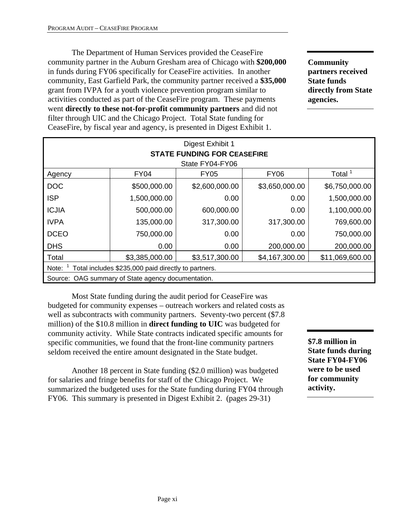The Department of Human Services provided the CeaseFire community partner in the Auburn Gresham area of Chicago with **\$200,000** in funds during FY06 specifically for CeaseFire activities. In another community, East Garfield Park, the community partner received a **\$35,000** grant from IVPA for a youth violence prevention program similar to activities conducted as part of the CeaseFire program. These payments went **directly to these not-for-profit community partners** and did not filter through UIC and the Chicago Project. Total State funding for CeaseFire, by fiscal year and agency, is presented in Digest Exhibit 1.

**Community partners received State funds directly from State agencies.** 

| Digest Exhibit 1<br><b>STATE FUNDING FOR CEASEFIRE</b>                         |              |                  |                |                    |  |  |
|--------------------------------------------------------------------------------|--------------|------------------|----------------|--------------------|--|--|
|                                                                                |              | State FY04-FY06  |                |                    |  |  |
| Agency                                                                         | <b>FY04</b>  | FY <sub>05</sub> | <b>FY06</b>    | Total <sup>1</sup> |  |  |
| <b>DOC</b>                                                                     | \$500,000.00 | \$2,600,000.00   | \$3,650,000.00 | \$6,750,000.00     |  |  |
| <b>ISP</b>                                                                     | 1,500,000.00 | 0.00             | 0.00           | 1,500,000.00       |  |  |
| <b>ICJIA</b>                                                                   | 500,000.00   | 600,000.00       | 0.00           | 1,100,000.00       |  |  |
| <b>IVPA</b>                                                                    | 135,000.00   | 317,300.00       | 317,300.00     | 769,600.00         |  |  |
| <b>DCEO</b>                                                                    | 750,000.00   | 0.00             | 0.00           | 750,000.00         |  |  |
| <b>DHS</b>                                                                     | 0.00         | 0.00             | 200,000.00     | 200,000.00         |  |  |
| Total<br>\$4,167,300.00<br>\$11,069,600.00<br>\$3,385,000.00<br>\$3,517,300.00 |              |                  |                |                    |  |  |
| Total includes \$235,000 paid directly to partners.<br>Note:                   |              |                  |                |                    |  |  |
| Source: OAG summary of State agency documentation.                             |              |                  |                |                    |  |  |

 Most State funding during the audit period for CeaseFire was budgeted for community expenses – outreach workers and related costs as well as subcontracts with community partners. Seventy-two percent (\$7.8) million) of the \$10.8 million in **direct funding to UIC** was budgeted for community activity. While State contracts indicated specific amounts for specific communities, we found that the front-line community partners seldom received the entire amount designated in the State budget.

Another 18 percent in State funding (\$2.0 million) was budgeted for salaries and fringe benefits for staff of the Chicago Project. We summarized the budgeted uses for the State funding during FY04 through FY06. This summary is presented in Digest Exhibit 2. (pages 29-31)

**\$7.8 million in State funds during State FY04-FY06 were to be used for community activity.**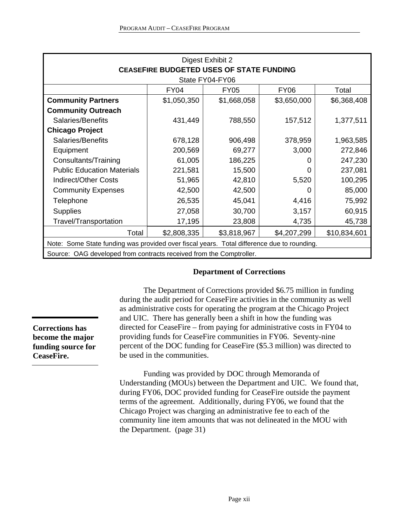| Digest Exhibit 2                                                                           |             |             |             |             |  |  |  |  |
|--------------------------------------------------------------------------------------------|-------------|-------------|-------------|-------------|--|--|--|--|
| <b>CEASEFIRE BUDGETED USES OF STATE FUNDING</b><br>State FY04-FY06                         |             |             |             |             |  |  |  |  |
| <b>FY04</b><br><b>FY06</b><br>Total<br><b>FY05</b>                                         |             |             |             |             |  |  |  |  |
| <b>Community Partners</b>                                                                  | \$1,050,350 | \$1,668,058 | \$3,650,000 | \$6,368,408 |  |  |  |  |
| <b>Community Outreach</b>                                                                  |             |             |             |             |  |  |  |  |
| Salaries/Benefits                                                                          | 431,449     | 788,550     | 157,512     | 1,377,511   |  |  |  |  |
| <b>Chicago Project</b>                                                                     |             |             |             |             |  |  |  |  |
| Salaries/Benefits                                                                          | 678,128     | 906,498     | 378,959     | 1,963,585   |  |  |  |  |
| Equipment                                                                                  | 200,569     | 69,277      | 3,000       | 272,846     |  |  |  |  |
| Consultants/Training                                                                       | 61,005      | 186,225     | 0           | 247,230     |  |  |  |  |
| <b>Public Education Materials</b>                                                          | 221,581     | 15,500      | 0           | 237,081     |  |  |  |  |
| <b>Indirect/Other Costs</b>                                                                | 51,965      | 42,810      | 5,520       | 100,295     |  |  |  |  |
| <b>Community Expenses</b>                                                                  | 42,500      | 42,500      | 0           | 85,000      |  |  |  |  |
| Telephone                                                                                  | 26,535      | 45,041      | 4,416       | 75,992      |  |  |  |  |
| <b>Supplies</b>                                                                            | 27,058      | 30,700      | 3,157       | 60,915      |  |  |  |  |
| Travel/Transportation                                                                      | 17,195      | 23,808      | 4,735       | 45,738      |  |  |  |  |
| \$2,808,335<br>\$3,818,967<br>\$4,207,299<br>\$10,834,601<br>Total                         |             |             |             |             |  |  |  |  |
| Note: Some State funding was provided over fiscal years. Total difference due to rounding. |             |             |             |             |  |  |  |  |
| Source: OAG developed from contracts received from the Comptroller.                        |             |             |             |             |  |  |  |  |

#### **Department of Corrections**

 The Department of Corrections provided \$6.75 million in funding during the audit period for CeaseFire activities in the community as well as administrative costs for operating the program at the Chicago Project and UIC. There has generally been a shift in how the funding was directed for CeaseFire – from paying for administrative costs in FY04 to providing funds for CeaseFire communities in FY06. Seventy-nine percent of the DOC funding for CeaseFire (\$5.3 million) was directed to be used in the communities.

Funding was provided by DOC through Memoranda of Understanding (MOUs) between the Department and UIC. We found that, during FY06, DOC provided funding for CeaseFire outside the payment terms of the agreement. Additionally, during FY06, we found that the Chicago Project was charging an administrative fee to each of the community line item amounts that was not delineated in the MOU with the Department. (page 31)

**Corrections has become the major funding source for CeaseFire.**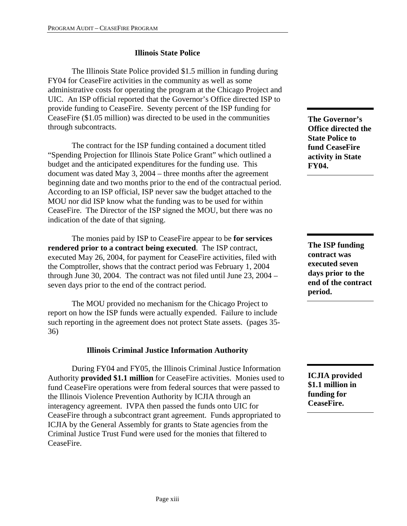## **Illinois State Police**

The Illinois State Police provided \$1.5 million in funding during FY04 for CeaseFire activities in the community as well as some administrative costs for operating the program at the Chicago Project and UIC. An ISP official reported that the Governor's Office directed ISP to provide funding to CeaseFire. Seventy percent of the ISP funding for CeaseFire (\$1.05 million) was directed to be used in the communities through subcontracts.

The contract for the ISP funding contained a document titled "Spending Projection for Illinois State Police Grant" which outlined a budget and the anticipated expenditures for the funding use. This document was dated May 3, 2004 – three months after the agreement beginning date and two months prior to the end of the contractual period. According to an ISP official, ISP never saw the budget attached to the MOU nor did ISP know what the funding was to be used for within CeaseFire. The Director of the ISP signed the MOU, but there was no indication of the date of that signing.

The monies paid by ISP to CeaseFire appear to be **for services rendered prior to a contract being executed**. The ISP contract, executed May 26, 2004, for payment for CeaseFire activities, filed with the Comptroller, shows that the contract period was February 1, 2004 through June 30, 2004. The contract was not filed until June 23, 2004 – seven days prior to the end of the contract period.

 The MOU provided no mechanism for the Chicago Project to report on how the ISP funds were actually expended. Failure to include such reporting in the agreement does not protect State assets. (pages 35- 36)

### **Illinois Criminal Justice Information Authority**

 During FY04 and FY05, the Illinois Criminal Justice Information Authority **provided \$1.1 million** for CeaseFire activities. Monies used to fund CeaseFire operations were from federal sources that were passed to the Illinois Violence Prevention Authority by ICJIA through an interagency agreement. IVPA then passed the funds onto UIC for CeaseFire through a subcontract grant agreement. Funds appropriated to ICJIA by the General Assembly for grants to State agencies from the Criminal Justice Trust Fund were used for the monies that filtered to CeaseFire.

**The Governor's Office directed the State Police to fund CeaseFire activity in State FY04.** 

**The ISP funding contract was executed seven days prior to the end of the contract period.** 

**ICJIA provided \$1.1 million in funding for CeaseFire.**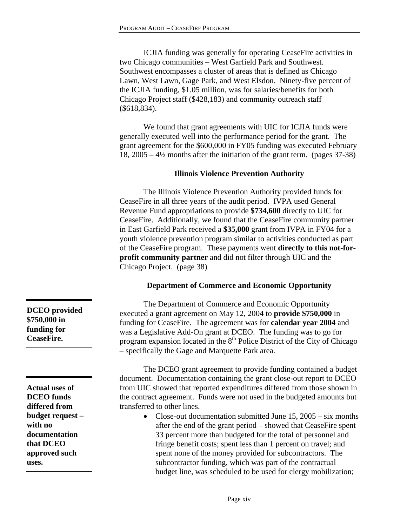ICJIA funding was generally for operating CeaseFire activities in two Chicago communities – West Garfield Park and Southwest. Southwest encompasses a cluster of areas that is defined as Chicago Lawn, West Lawn, Gage Park, and West Elsdon. Ninety-five percent of the ICJIA funding, \$1.05 million, was for salaries/benefits for both Chicago Project staff (\$428,183) and community outreach staff (\$618,834).

We found that grant agreements with UIC for ICJIA funds were generally executed well into the performance period for the grant. The grant agreement for the \$600,000 in FY05 funding was executed February 18, 2005 – 4½ months after the initiation of the grant term. (pages 37-38)

#### **Illinois Violence Prevention Authority**

 The Illinois Violence Prevention Authority provided funds for CeaseFire in all three years of the audit period. IVPA used General Revenue Fund appropriations to provide **\$734,600** directly to UIC for CeaseFire. Additionally, we found that the CeaseFire community partner in East Garfield Park received a **\$35,000** grant from IVPA in FY04 for a youth violence prevention program similar to activities conducted as part of the CeaseFire program. These payments went **directly to this not-forprofit community partner** and did not filter through UIC and the Chicago Project. (page 38)

#### **Department of Commerce and Economic Opportunity**

 The Department of Commerce and Economic Opportunity executed a grant agreement on May 12, 2004 to **provide \$750,000** in funding for CeaseFire. The agreement was for **calendar year 2004** and was a Legislative Add-On grant at DCEO. The funding was to go for program expansion located in the  $8<sup>th</sup>$  Police District of the City of Chicago – specifically the Gage and Marquette Park area.

 The DCEO grant agreement to provide funding contained a budget document. Documentation containing the grant close-out report to DCEO from UIC showed that reported expenditures differed from those shown in the contract agreement. Funds were not used in the budgeted amounts but transferred to other lines.

• Close-out documentation submitted June 15, 2005 – six months after the end of the grant period – showed that CeaseFire spent 33 percent more than budgeted for the total of personnel and fringe benefit costs; spent less than 1 percent on travel; and spent none of the money provided for subcontractors. The subcontractor funding, which was part of the contractual budget line, was scheduled to be used for clergy mobilization;

**DCEO provided \$750,000 in funding for CeaseFire.** 

**Actual uses of DCEO funds differed from budget request – with no documentation that DCEO approved such uses.**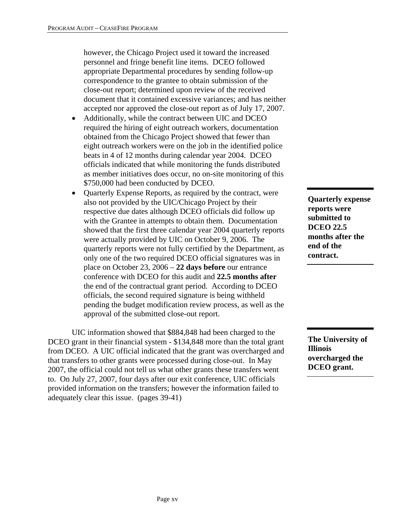however, the Chicago Project used it toward the increased personnel and fringe benefit line items. DCEO followed appropriate Departmental procedures by sending follow-up correspondence to the grantee to obtain submission of the close-out report; determined upon review of the received document that it contained excessive variances; and has neither accepted nor approved the close-out report as of July 17, 2007.

- Additionally, while the contract between UIC and DCEO required the hiring of eight outreach workers, documentation obtained from the Chicago Project showed that fewer than eight outreach workers were on the job in the identified police beats in 4 of 12 months during calendar year 2004. DCEO officials indicated that while monitoring the funds distributed as member initiatives does occur, no on-site monitoring of this \$750,000 had been conducted by DCEO.
- Quarterly Expense Reports, as required by the contract, were also not provided by the UIC/Chicago Project by their respective due dates although DCEO officials did follow up with the Grantee in attempts to obtain them. Documentation showed that the first three calendar year 2004 quarterly reports were actually provided by UIC on October 9, 2006. The quarterly reports were not fully certified by the Department, as only one of the two required DCEO official signatures was in place on October 23, 2006 – **22 days before** our entrance conference with DCEO for this audit and **22.5 months after** the end of the contractual grant period. According to DCEO officials, the second required signature is being withheld pending the budget modification review process, as well as the approval of the submitted close-out report.

 UIC information showed that \$884,848 had been charged to the DCEO grant in their financial system - \$134,848 more than the total grant from DCEO. A UIC official indicated that the grant was overcharged and that transfers to other grants were processed during close-out. In May 2007, the official could not tell us what other grants these transfers went to. On July 27, 2007, four days after our exit conference, UIC officials provided information on the transfers; however the information failed to adequately clear this issue. (pages 39-41)

**Quarterly expense reports were submitted to DCEO 22.5 months after the end of the contract.** 

**The University of Illinois overcharged the DCEO grant.**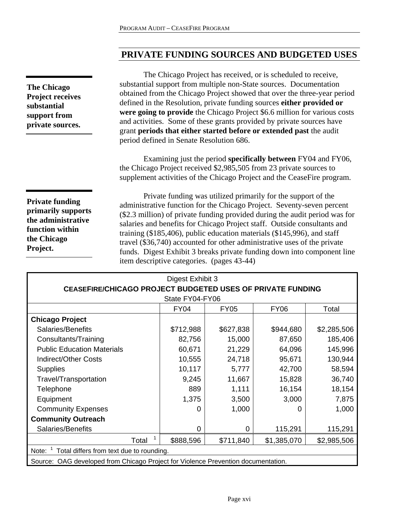# **PRIVATE FUNDING SOURCES AND BUDGETED USES**

 The Chicago Project has received, or is scheduled to receive, substantial support from multiple non-State sources. Documentation obtained from the Chicago Project showed that over the three-year period defined in the Resolution, private funding sources **either provided or were going to provide** the Chicago Project \$6.6 million for various costs and activities. Some of these grants provided by private sources have grant **periods that either started before or extended past** the audit period defined in Senate Resolution 686.

Examining just the period **specifically between** FY04 and FY06, the Chicago Project received \$2,985,505 from 23 private sources to supplement activities of the Chicago Project and the CeaseFire program.

**Private funding primarily supports the administrative function within the Chicago Project.** 

Private funding was utilized primarily for the support of the administrative function for the Chicago Project. Seventy-seven percent (\$2.3 million) of private funding provided during the audit period was for salaries and benefits for Chicago Project staff. Outside consultants and training (\$185,406), public education materials (\$145,996), and staff travel (\$36,740) accounted for other administrative uses of the private funds. Digest Exhibit 3 breaks private funding down into component line item descriptive categories. (pages 43-44)

| Digest Exhibit 3                                                                  |                 |           |             |             |  |  |  |  |
|-----------------------------------------------------------------------------------|-----------------|-----------|-------------|-------------|--|--|--|--|
| <b>CEASEFIRE/CHICAGO PROJECT BUDGETED USES OF PRIVATE FUNDING</b>                 |                 |           |             |             |  |  |  |  |
|                                                                                   | State FY04-FY06 |           |             |             |  |  |  |  |
| <b>FY04</b><br><b>FY05</b><br><b>FY06</b><br>Total                                |                 |           |             |             |  |  |  |  |
| <b>Chicago Project</b>                                                            |                 |           |             |             |  |  |  |  |
| Salaries/Benefits                                                                 | \$712,988       | \$627,838 | \$944,680   | \$2,285,506 |  |  |  |  |
| Consultants/Training                                                              | 82,756          | 15,000    | 87,650      | 185,406     |  |  |  |  |
| <b>Public Education Materials</b>                                                 | 60,671          | 21,229    | 64,096      | 145,996     |  |  |  |  |
| <b>Indirect/Other Costs</b>                                                       | 10,555          | 24,718    | 95,671      | 130,944     |  |  |  |  |
| <b>Supplies</b>                                                                   | 42,700          | 58,594    |             |             |  |  |  |  |
| Travel/Transportation                                                             | 9,245           | 11,667    | 15,828      | 36,740      |  |  |  |  |
| Telephone                                                                         | 889             | 1,111     | 16,154      | 18,154      |  |  |  |  |
| Equipment                                                                         | 1,375           | 3,500     | 3,000       | 7,875       |  |  |  |  |
| <b>Community Expenses</b>                                                         | 0               | 1,000     |             | 1,000       |  |  |  |  |
| <b>Community Outreach</b>                                                         |                 |           |             |             |  |  |  |  |
| Salaries/Benefits                                                                 | $\Omega$        | 0         | 115,291     | 115,291     |  |  |  |  |
| Total                                                                             | \$888,596       | \$711,840 | \$1,385,070 | \$2,985,506 |  |  |  |  |
| Total differs from text due to rounding.<br>Note:                                 |                 |           |             |             |  |  |  |  |
| Source: OAG developed from Chicago Project for Violence Prevention documentation. |                 |           |             |             |  |  |  |  |

**The Chicago Project receives substantial support from private sources.**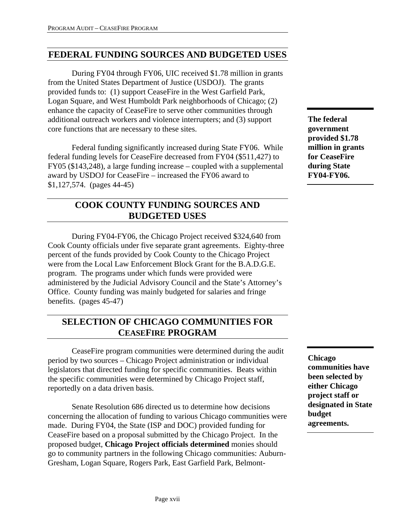# **FEDERAL FUNDING SOURCES AND BUDGETED USES**

 During FY04 through FY06, UIC received \$1.78 million in grants from the United States Department of Justice (USDOJ). The grants provided funds to: (1) support CeaseFire in the West Garfield Park, Logan Square, and West Humboldt Park neighborhoods of Chicago; (2) enhance the capacity of CeaseFire to serve other communities through additional outreach workers and violence interrupters; and (3) support core functions that are necessary to these sites.

Federal funding significantly increased during State FY06. While federal funding levels for CeaseFire decreased from FY04 (\$511,427) to FY05 (\$143,248), a large funding increase – coupled with a supplemental award by USDOJ for CeaseFire – increased the FY06 award to \$1,127,574. (pages 44-45)

# **COOK COUNTY FUNDING SOURCES AND BUDGETED USES**

During FY04-FY06, the Chicago Project received \$324,640 from Cook County officials under five separate grant agreements. Eighty-three percent of the funds provided by Cook County to the Chicago Project were from the Local Law Enforcement Block Grant for the B.A.D.G.E. program. The programs under which funds were provided were administered by the Judicial Advisory Council and the State's Attorney's Office. County funding was mainly budgeted for salaries and fringe benefits. (pages 45-47)

# **SELECTION OF CHICAGO COMMUNITIES FOR CEASEFIRE PROGRAM**

 CeaseFire program communities were determined during the audit period by two sources – Chicago Project administration or individual legislators that directed funding for specific communities. Beats within the specific communities were determined by Chicago Project staff, reportedly on a data driven basis.

 Senate Resolution 686 directed us to determine how decisions concerning the allocation of funding to various Chicago communities were made. During FY04, the State (ISP and DOC) provided funding for CeaseFire based on a proposal submitted by the Chicago Project. In the proposed budget, **Chicago Project officials determined** monies should go to community partners in the following Chicago communities: Auburn-Gresham, Logan Square, Rogers Park, East Garfield Park, Belmont-

**The federal government provided \$1.78 million in grants for CeaseFire during State FY04-FY06.** 

**Chicago communities have been selected by either Chicago project staff or designated in State budget agreements.**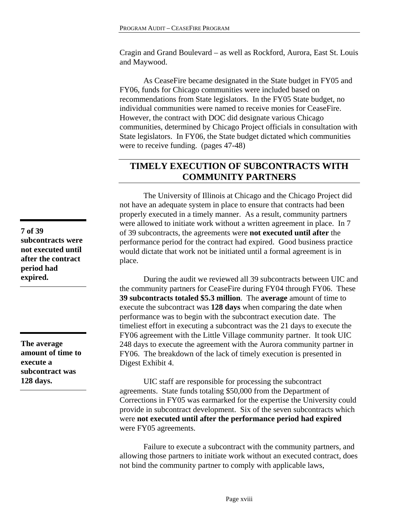Cragin and Grand Boulevard – as well as Rockford, Aurora, East St. Louis and Maywood.

As CeaseFire became designated in the State budget in FY05 and FY06, funds for Chicago communities were included based on recommendations from State legislators. In the FY05 State budget, no individual communities were named to receive monies for CeaseFire. However, the contract with DOC did designate various Chicago communities, determined by Chicago Project officials in consultation with State legislators. In FY06, the State budget dictated which communities were to receive funding. (pages 47-48)

# **TIMELY EXECUTION OF SUBCONTRACTS WITH COMMUNITY PARTNERS**

The University of Illinois at Chicago and the Chicago Project did not have an adequate system in place to ensure that contracts had been properly executed in a timely manner. As a result, community partners were allowed to initiate work without a written agreement in place. In 7 of 39 subcontracts, the agreements were **not executed until after** the performance period for the contract had expired. Good business practice would dictate that work not be initiated until a formal agreement is in place.

 During the audit we reviewed all 39 subcontracts between UIC and the community partners for CeaseFire during FY04 through FY06. These **39 subcontracts totaled \$5.3 million**. The **average** amount of time to execute the subcontract was **128 days** when comparing the date when performance was to begin with the subcontract execution date. The timeliest effort in executing a subcontract was the 21 days to execute the FY06 agreement with the Little Village community partner. It took UIC 248 days to execute the agreement with the Aurora community partner in FY06. The breakdown of the lack of timely execution is presented in Digest Exhibit 4.

 UIC staff are responsible for processing the subcontract agreements. State funds totaling \$50,000 from the Department of Corrections in FY05 was earmarked for the expertise the University could provide in subcontract development. Six of the seven subcontracts which were **not executed until after the performance period had expired** were FY05 agreements.

 Failure to execute a subcontract with the community partners, and allowing those partners to initiate work without an executed contract, does not bind the community partner to comply with applicable laws,

**7 of 39 subcontracts were not executed until after the contract period had expired.** 

**The average amount of time to execute a subcontract was 128 days.**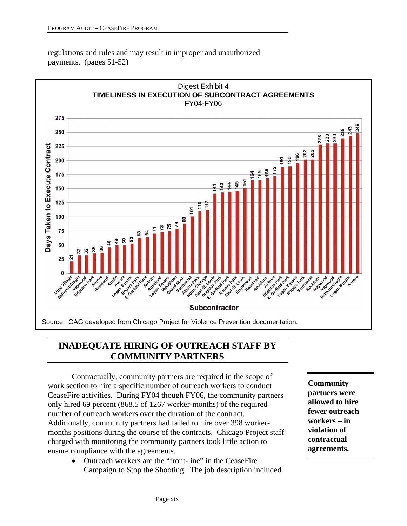regulations and rules and may result in improper and unauthorized payments. (pages 51-52)



# **INADEQUATE HIRING OF OUTREACH STAFF BY COMMUNITY PARTNERS**

 Contractually, community partners are required in the scope of work section to hire a specific number of outreach workers to conduct CeaseFire activities. During FY04 though FY06, the community partners only hired 69 percent (868.5 of 1267 worker-months) of the required number of outreach workers over the duration of the contract. Additionally, community partners had failed to hire over 398 workermonths positions during the course of the contracts. Chicago Project staff charged with monitoring the community partners took little action to ensure compliance with the agreements.

> • Outreach workers are the "front-line" in the CeaseFire Campaign to Stop the Shooting. The job description included

**Community partners were allowed to hire fewer outreach workers – in violation of contractual agreements.**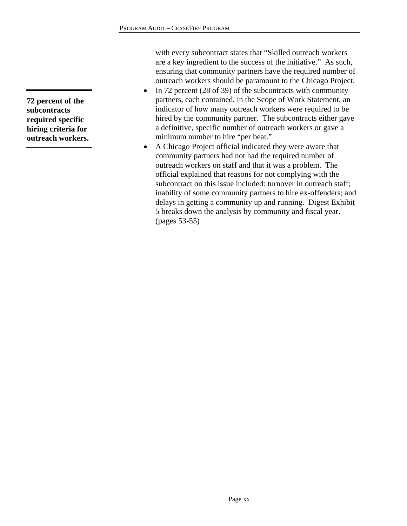with every subcontract states that "Skilled outreach workers are a key ingredient to the success of the initiative." As such, ensuring that community partners have the required number of outreach workers should be paramount to the Chicago Project.

- In 72 percent (28 of 39) of the subcontracts with community partners, each contained, in the Scope of Work Statement, an indicator of how many outreach workers were required to be hired by the community partner. The subcontracts either gave a definitive, specific number of outreach workers or gave a minimum number to hire "per beat."
- A Chicago Project official indicated they were aware that community partners had not had the required number of outreach workers on staff and that it was a problem. The official explained that reasons for not complying with the subcontract on this issue included: turnover in outreach staff; inability of some community partners to hire ex-offenders; and delays in getting a community up and running. Digest Exhibit 5 breaks down the analysis by community and fiscal year. (pages 53-55)

**72 percent of the subcontracts required specific hiring criteria for outreach workers.**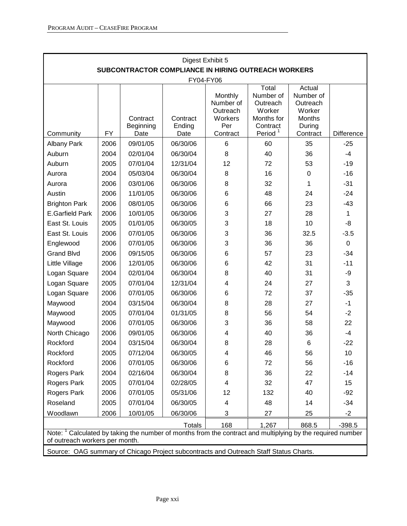| Digest Exhibit 5                                                                                                                                        |           |                               |                            |                                                                |                                                                                           |                                                                                  |                   |
|---------------------------------------------------------------------------------------------------------------------------------------------------------|-----------|-------------------------------|----------------------------|----------------------------------------------------------------|-------------------------------------------------------------------------------------------|----------------------------------------------------------------------------------|-------------------|
| SUBCONTRACTOR COMPLIANCE IN HIRING OUTREACH WORKERS<br>FY04-FY06                                                                                        |           |                               |                            |                                                                |                                                                                           |                                                                                  |                   |
| Community                                                                                                                                               | <b>FY</b> | Contract<br>Beginning<br>Date | Contract<br>Ending<br>Date | Monthly<br>Number of<br>Outreach<br>Workers<br>Per<br>Contract | Total<br>Number of<br>Outreach<br>Worker<br>Months for<br>Contract<br>Period <sup>1</sup> | Actual<br>Number of<br>Outreach<br>Worker<br><b>Months</b><br>During<br>Contract | <b>Difference</b> |
| <b>Albany Park</b>                                                                                                                                      | 2006      | 09/01/05                      | 06/30/06                   | 6                                                              | 60                                                                                        | 35                                                                               | $-25$             |
| Auburn                                                                                                                                                  | 2004      | 02/01/04                      | 06/30/04                   | 8                                                              | 40                                                                                        | 36                                                                               | $-4$              |
| Auburn                                                                                                                                                  | 2005      | 07/01/04                      | 12/31/04                   | 12                                                             | 72                                                                                        | 53                                                                               | $-19$             |
| Aurora                                                                                                                                                  | 2004      | 05/03/04                      | 06/30/04                   | 8                                                              | 16                                                                                        | 0                                                                                | $-16$             |
| Aurora                                                                                                                                                  | 2006      | 03/01/06                      | 06/30/06                   | 8                                                              | 32                                                                                        | 1                                                                                | $-31$             |
| Austin                                                                                                                                                  | 2006      | 11/01/05                      | 06/30/06                   | 6                                                              | 48                                                                                        | 24                                                                               | $-24$             |
| <b>Brighton Park</b>                                                                                                                                    | 2006      | 08/01/05                      | 06/30/06                   | 6                                                              | 66                                                                                        | 23                                                                               | $-43$             |
| <b>E.Garfield Park</b>                                                                                                                                  | 2006      | 10/01/05                      | 06/30/06                   | 3                                                              | 27                                                                                        | 28                                                                               | 1                 |
| East St. Louis                                                                                                                                          | 2005      | 01/01/05                      | 06/30/05                   | 3                                                              | 18                                                                                        | 10                                                                               | -8                |
| East St. Louis                                                                                                                                          | 2006      | 07/01/05                      | 06/30/06                   | 3                                                              | 36                                                                                        | 32.5                                                                             | $-3.5$            |
| Englewood                                                                                                                                               | 2006      | 07/01/05                      | 06/30/06                   | 3                                                              | 36                                                                                        | 36                                                                               | $\mathbf 0$       |
| <b>Grand Blvd</b>                                                                                                                                       | 2006      | 09/15/05                      | 06/30/06                   | 6                                                              | 57                                                                                        | 23                                                                               | $-34$             |
| Little Village                                                                                                                                          | 2006      | 12/01/05                      | 06/30/06                   | 6                                                              | 42                                                                                        | 31                                                                               | $-11$             |
| Logan Square                                                                                                                                            | 2004      | 02/01/04                      | 06/30/04                   | 8                                                              | 40                                                                                        | 31                                                                               | -9                |
| Logan Square                                                                                                                                            | 2005      | 07/01/04                      | 12/31/04                   | 4                                                              | 24                                                                                        | 27                                                                               | 3                 |
| Logan Square                                                                                                                                            | 2006      | 07/01/05                      | 06/30/06                   | 6                                                              | 72                                                                                        | 37                                                                               | $-35$             |
| Maywood                                                                                                                                                 | 2004      | 03/15/04                      | 06/30/04                   | 8                                                              | 28                                                                                        | 27                                                                               | $-1$              |
| Maywood                                                                                                                                                 | 2005      | 07/01/04                      | 01/31/05                   | 8                                                              | 56                                                                                        | 54                                                                               | $-2$              |
| Maywood                                                                                                                                                 | 2006      | 07/01/05                      | 06/30/06                   | 3                                                              | 36                                                                                        | 58                                                                               | 22                |
| North Chicago                                                                                                                                           | 2006      | 09/01/05                      | 06/30/06                   | 4                                                              | 40                                                                                        | 36                                                                               | $-4$              |
| Rockford                                                                                                                                                | 2004      | 03/15/04                      | 06/30/04                   | 8                                                              | 28                                                                                        | 6                                                                                | $-22$             |
| Rockford                                                                                                                                                | 2005      | 07/12/04                      | 06/30/05                   | 4                                                              | 46                                                                                        | 56                                                                               | 10                |
| Rockford                                                                                                                                                | 2006      | 07/01/05                      | 06/30/06                   | 6                                                              | 72                                                                                        | 56                                                                               | $-16$             |
| Rogers Park                                                                                                                                             | 2004      | 02/16/04                      | 06/30/04                   | 8                                                              | 36                                                                                        | 22                                                                               | $-14$             |
| Rogers Park                                                                                                                                             | 2005      | 07/01/04                      | 02/28/05                   | 4                                                              | 32                                                                                        | 47                                                                               | 15                |
| Rogers Park                                                                                                                                             | 2006      | 07/01/05                      | 05/31/06                   | 12                                                             | 132                                                                                       | 40                                                                               | $-92$             |
| Roseland                                                                                                                                                | 2005      | 07/01/04                      | 06/30/05                   | 4                                                              | 48                                                                                        | 14                                                                               | $-34$             |
| Woodlawn                                                                                                                                                | 2006      | 10/01/05                      | 06/30/06                   | 3                                                              | 27                                                                                        | 25                                                                               | $-2$              |
|                                                                                                                                                         |           |                               | <b>Totals</b>              | 168                                                            | 1,267                                                                                     | 868.5                                                                            | $-398.5$          |
| Note: <sup>1</sup> Calculated by taking the number of months from the contract and multiplying by the required number<br>of outreach workers per month. |           |                               |                            |                                                                |                                                                                           |                                                                                  |                   |
| Source: OAG summary of Chicago Project subcontracts and Outreach Staff Status Charts.                                                                   |           |                               |                            |                                                                |                                                                                           |                                                                                  |                   |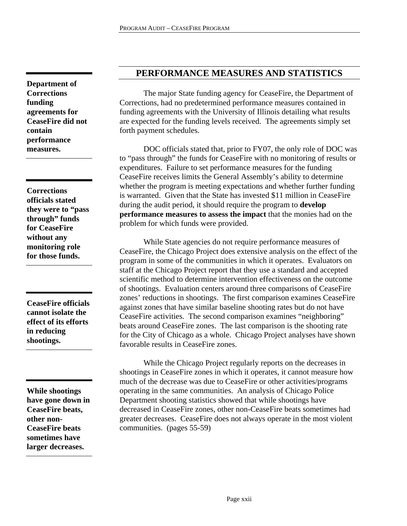**Department of Corrections funding agreements for CeaseFire did not contain performance measures.** 

**Corrections officials stated they were to "pass through" funds for CeaseFire without any monitoring role for those funds.** 

**CeaseFire officials cannot isolate the effect of its efforts in reducing shootings.** 

**While shootings have gone down in CeaseFire beats, other non-CeaseFire beats sometimes have larger decreases.** 

## **PERFORMANCE MEASURES AND STATISTICS**

 The major State funding agency for CeaseFire, the Department of Corrections, had no predetermined performance measures contained in funding agreements with the University of Illinois detailing what results are expected for the funding levels received. The agreements simply set forth payment schedules.

 DOC officials stated that, prior to FY07, the only role of DOC was to "pass through" the funds for CeaseFire with no monitoring of results or expenditures. Failure to set performance measures for the funding CeaseFire receives limits the General Assembly's ability to determine whether the program is meeting expectations and whether further funding is warranted. Given that the State has invested \$11 million in CeaseFire during the audit period, it should require the program to **develop performance measures to assess the impact** that the monies had on the problem for which funds were provided.

 While State agencies do not require performance measures of CeaseFire, the Chicago Project does extensive analysis on the effect of the program in some of the communities in which it operates. Evaluators on staff at the Chicago Project report that they use a standard and accepted scientific method to determine intervention effectiveness on the outcome of shootings. Evaluation centers around three comparisons of CeaseFire zones' reductions in shootings. The first comparison examines CeaseFire against zones that have similar baseline shooting rates but do not have CeaseFire activities. The second comparison examines "neighboring" beats around CeaseFire zones. The last comparison is the shooting rate for the City of Chicago as a whole. Chicago Project analyses have shown favorable results in CeaseFire zones.

 While the Chicago Project regularly reports on the decreases in shootings in CeaseFire zones in which it operates, it cannot measure how much of the decrease was due to CeaseFire or other activities/programs operating in the same communities. An analysis of Chicago Police Department shooting statistics showed that while shootings have decreased in CeaseFire zones, other non-CeaseFire beats sometimes had greater decreases. CeaseFire does not always operate in the most violent communities. (pages 55-59)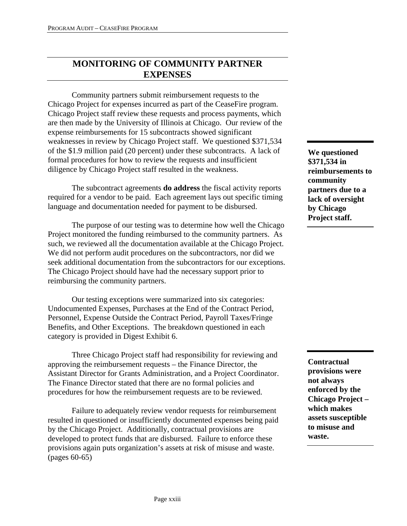# **MONITORING OF COMMUNITY PARTNER EXPENSES**

 Community partners submit reimbursement requests to the Chicago Project for expenses incurred as part of the CeaseFire program. Chicago Project staff review these requests and process payments, which are then made by the University of Illinois at Chicago. Our review of the expense reimbursements for 15 subcontracts showed significant weaknesses in review by Chicago Project staff. We questioned \$371,534 of the \$1.9 million paid (20 percent) under these subcontracts. A lack of formal procedures for how to review the requests and insufficient diligence by Chicago Project staff resulted in the weakness.

 The subcontract agreements **do address** the fiscal activity reports required for a vendor to be paid. Each agreement lays out specific timing language and documentation needed for payment to be disbursed.

The purpose of our testing was to determine how well the Chicago Project monitored the funding reimbursed to the community partners. As such, we reviewed all the documentation available at the Chicago Project. We did not perform audit procedures on the subcontractors, nor did we seek additional documentation from the subcontractors for our exceptions. The Chicago Project should have had the necessary support prior to reimbursing the community partners.

 Our testing exceptions were summarized into six categories: Undocumented Expenses, Purchases at the End of the Contract Period, Personnel, Expense Outside the Contract Period, Payroll Taxes/Fringe Benefits, and Other Exceptions. The breakdown questioned in each category is provided in Digest Exhibit 6.

 Three Chicago Project staff had responsibility for reviewing and approving the reimbursement requests – the Finance Director, the Assistant Director for Grants Administration, and a Project Coordinator. The Finance Director stated that there are no formal policies and procedures for how the reimbursement requests are to be reviewed.

 Failure to adequately review vendor requests for reimbursement resulted in questioned or insufficiently documented expenses being paid by the Chicago Project. Additionally, contractual provisions are developed to protect funds that are disbursed. Failure to enforce these provisions again puts organization's assets at risk of misuse and waste. (pages 60-65)

**We questioned \$371,534 in reimbursements to community partners due to a lack of oversight by Chicago Project staff.** 

**Contractual provisions were not always enforced by the Chicago Project – which makes assets susceptible to misuse and waste.**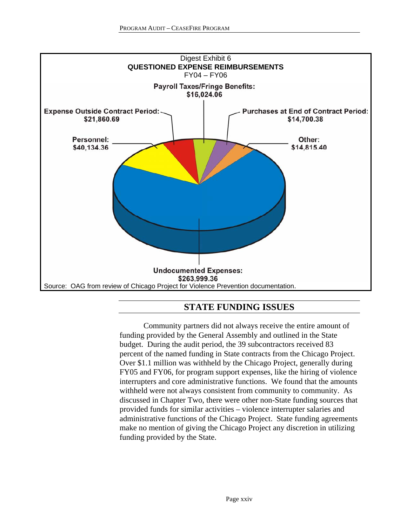

## **STATE FUNDING ISSUES**

 Community partners did not always receive the entire amount of funding provided by the General Assembly and outlined in the State budget. During the audit period, the 39 subcontractors received 83 percent of the named funding in State contracts from the Chicago Project. Over \$1.1 million was withheld by the Chicago Project, generally during FY05 and FY06, for program support expenses, like the hiring of violence interrupters and core administrative functions. We found that the amounts withheld were not always consistent from community to community. As discussed in Chapter Two, there were other non-State funding sources that provided funds for similar activities – violence interrupter salaries and administrative functions of the Chicago Project. State funding agreements make no mention of giving the Chicago Project any discretion in utilizing funding provided by the State.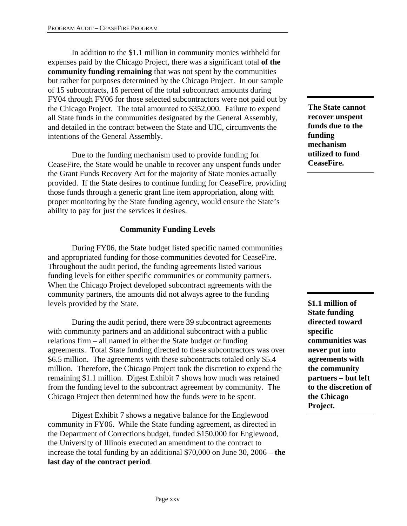In addition to the \$1.1 million in community monies withheld for expenses paid by the Chicago Project, there was a significant total **of the community funding remaining** that was not spent by the communities but rather for purposes determined by the Chicago Project. In our sample of 15 subcontracts, 16 percent of the total subcontract amounts during FY04 through FY06 for those selected subcontractors were not paid out by the Chicago Project. The total amounted to \$352,000. Failure to expend all State funds in the communities designated by the General Assembly, and detailed in the contract between the State and UIC, circumvents the intentions of the General Assembly.

 Due to the funding mechanism used to provide funding for CeaseFire, the State would be unable to recover any unspent funds under the Grant Funds Recovery Act for the majority of State monies actually provided. If the State desires to continue funding for CeaseFire, providing those funds through a generic grant line item appropriation, along with proper monitoring by the State funding agency, would ensure the State's ability to pay for just the services it desires.

### **Community Funding Levels**

 During FY06, the State budget listed specific named communities and appropriated funding for those communities devoted for CeaseFire. Throughout the audit period, the funding agreements listed various funding levels for either specific communities or community partners. When the Chicago Project developed subcontract agreements with the community partners, the amounts did not always agree to the funding levels provided by the State.

 During the audit period, there were 39 subcontract agreements with community partners and an additional subcontract with a public relations firm – all named in either the State budget or funding agreements. Total State funding directed to these subcontractors was over \$6.5 million. The agreements with these subcontracts totaled only \$5.4 million. Therefore, the Chicago Project took the discretion to expend the remaining \$1.1 million. Digest Exhibit 7 shows how much was retained from the funding level to the subcontract agreement by community. The Chicago Project then determined how the funds were to be spent.

 Digest Exhibit 7 shows a negative balance for the Englewood community in FY06. While the State funding agreement, as directed in the Department of Corrections budget, funded \$150,000 for Englewood, the University of Illinois executed an amendment to the contract to increase the total funding by an additional \$70,000 on June 30, 2006 – **the last day of the contract period**.

**The State cannot recover unspent funds due to the funding mechanism utilized to fund CeaseFire.** 

**\$1.1 million of State funding directed toward specific communities was never put into agreements with the community partners – but left to the discretion of the Chicago Project.**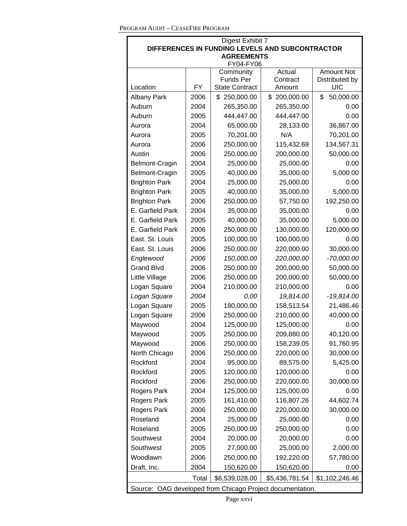| Digest Exhibit 7                                                     |      |                                           |                    |                              |  |
|----------------------------------------------------------------------|------|-------------------------------------------|--------------------|------------------------------|--|
| DIFFERENCES IN FUNDING LEVELS AND SUBCONTRACTOR<br><b>AGREEMENTS</b> |      |                                           |                    |                              |  |
|                                                                      |      | FY04-FY06                                 |                    |                              |  |
|                                                                      |      | Community                                 | Actual             | <b>Amount Not</b>            |  |
| Location                                                             | FY   | <b>Funds Per</b><br><b>State Contract</b> | Contract<br>Amount | Distributed by<br><b>UIC</b> |  |
| <b>Albany Park</b>                                                   | 2006 | \$250,000.00                              | \$200,000.00       | \$<br>50,000.00              |  |
| Auburn                                                               | 2004 | 265,350.00                                | 265,350.00         | 0.00                         |  |
| Auburn                                                               | 2005 | 444,447.00                                | 444,447.00         | 0.00                         |  |
| Aurora                                                               | 2004 | 65,000.00                                 | 28,133.00          | 36,867.00                    |  |
| Aurora                                                               | 2005 | 70,201.00                                 | N/A                | 70,201.00                    |  |
| Aurora                                                               | 2006 | 250,000.00                                | 115,432.69         | 134,567.31                   |  |
| Austin                                                               | 2006 | 250,000.00                                | 200,000.00         | 50,000.00                    |  |
| Belmont-Cragin                                                       | 2004 | 25,000.00                                 | 25,000.00          | 0.00                         |  |
| Belmont-Cragin                                                       | 2005 | 40,000.00                                 | 35,000.00          | 5,000.00                     |  |
| <b>Brighton Park</b>                                                 | 2004 | 25,000.00                                 | 25,000.00          | 0.00                         |  |
|                                                                      | 2005 | 40,000.00                                 |                    | 5,000.00                     |  |
| <b>Brighton Park</b><br><b>Brighton Park</b>                         |      |                                           | 35,000.00          |                              |  |
| E. Garfield Park                                                     | 2006 | 250,000.00                                | 57,750.00          | 192,250.00                   |  |
|                                                                      | 2004 | 35,000.00                                 | 35,000.00          | 0.00                         |  |
| E. Garfield Park                                                     | 2005 | 40,000.00                                 | 35,000.00          | 5,000.00                     |  |
| E. Garfield Park                                                     | 2006 | 250,000.00                                | 130,000.00         | 120,000.00                   |  |
| East. St. Louis                                                      | 2005 | 100,000.00                                | 100,000.00         | 0.00                         |  |
| East. St. Louis                                                      | 2006 | 250,000.00                                | 220,000.00         | 30,000.00                    |  |
| Englewood                                                            | 2006 | 150,000.00                                | 220,000.00         | $-70,000.00$                 |  |
| <b>Grand Blvd</b>                                                    | 2006 | 250,000.00                                | 200,000.00         | 50,000.00                    |  |
| Little Village                                                       | 2006 | 250,000.00                                | 200,000.00         | 50,000.00                    |  |
| Logan Square                                                         | 2004 | 210,000.00                                | 210,000.00         | 0.00                         |  |
| Logan Square                                                         | 2004 | 0.00                                      | 19,814.00          | $-19,814.00$                 |  |
| Logan Square                                                         | 2005 | 180,000.00                                | 158,513.54         | 21,486.46                    |  |
| Logan Square                                                         | 2006 | 250,000.00                                | 210,000.00         | 40,000.00                    |  |
| Maywood                                                              | 2004 | 125,000.00                                | 125,000.00         | 0.00                         |  |
| Maywood                                                              | 2005 | 250,000.00                                | 209,880.00         | 40,120.00                    |  |
| Maywood                                                              | 2006 | 250,000.00                                | 158,239.05         | 91,760.95                    |  |
| North Chicago                                                        | 2006 | 250,000.00                                | 220,000.00         | 30,000.00                    |  |
| Rockford                                                             | 2004 | 95,000.00                                 | 89,575.00          | 5,425.00                     |  |
| Rockford                                                             | 2005 | 120,000.00                                | 120,000.00         | 0.00                         |  |
| Rockford                                                             | 2006 | 250,000.00                                | 220,000.00         | 30,000.00                    |  |
| <b>Rogers Park</b>                                                   | 2004 | 125,000.00                                | 125,000.00         | 0.00                         |  |
| Rogers Park                                                          | 2005 | 161,410.00                                | 116,807.26         | 44,602.74                    |  |
| Rogers Park                                                          | 2006 | 250,000.00                                | 220,000.00         | 30,000.00                    |  |
| Roseland                                                             | 2004 | 25,000.00                                 | 25,000.00          | 0.00                         |  |
| Roseland                                                             | 2005 | 250,000.00                                | 250,000.00         | 0.00                         |  |
| Southwest                                                            | 2004 | 20,000.00                                 | 20,000.00          | 0.00                         |  |
| Southwest                                                            | 2005 | 27,000.00                                 | 25,000.00          | 2,000.00                     |  |
| Woodlawn                                                             | 2006 | 250,000.00                                | 192,220.00         | 57,780.00                    |  |
| Draft, Inc.                                                          | 2004 | 150,620.00                                | 150,620.00         | 0.00                         |  |
| Total<br>\$6,539,028.00<br>\$5,436,781.54<br>\$1,102,246.46          |      |                                           |                    |                              |  |
| Source: OAG developed from Chicago Project documentation.            |      |                                           |                    |                              |  |